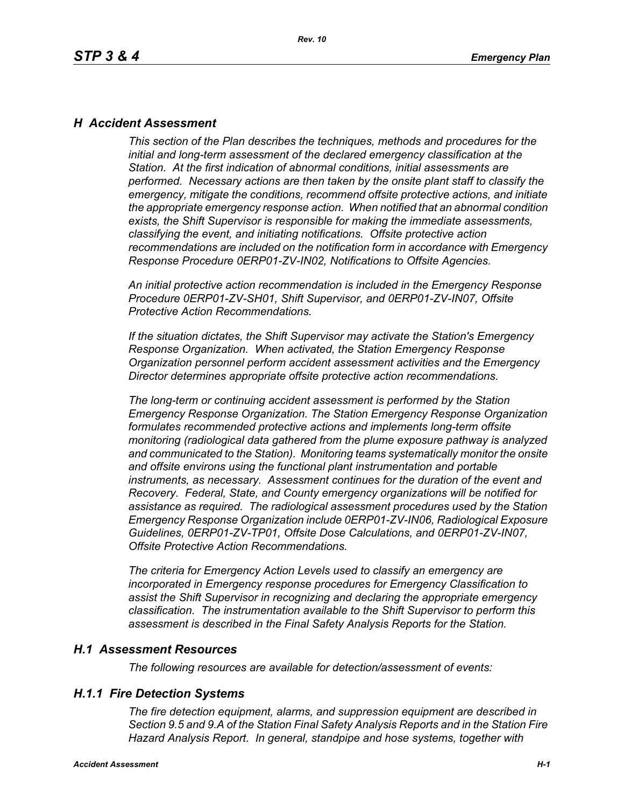### *H Accident Assessment*

*This section of the Plan describes the techniques, methods and procedures for the initial and long-term assessment of the declared emergency classification at the Station. At the first indication of abnormal conditions, initial assessments are performed. Necessary actions are then taken by the onsite plant staff to classify the emergency, mitigate the conditions, recommend offsite protective actions, and initiate the appropriate emergency response action. When notified that an abnormal condition exists, the Shift Supervisor is responsible for making the immediate assessments, classifying the event, and initiating notifications. Offsite protective action recommendations are included on the notification form in accordance with Emergency Response Procedure 0ERP01-ZV-IN02, Notifications to Offsite Agencies.*

*An initial protective action recommendation is included in the Emergency Response Procedure 0ERP01-ZV-SH01, Shift Supervisor, and 0ERP01-ZV-IN07, Offsite Protective Action Recommendations.*

*If the situation dictates, the Shift Supervisor may activate the Station's Emergency Response Organization. When activated, the Station Emergency Response Organization personnel perform accident assessment activities and the Emergency Director determines appropriate offsite protective action recommendations.*

*The long-term or continuing accident assessment is performed by the Station Emergency Response Organization. The Station Emergency Response Organization formulates recommended protective actions and implements long-term offsite monitoring (radiological data gathered from the plume exposure pathway is analyzed and communicated to the Station). Monitoring teams systematically monitor the onsite and offsite environs using the functional plant instrumentation and portable instruments, as necessary. Assessment continues for the duration of the event and Recovery. Federal, State, and County emergency organizations will be notified for assistance as required. The radiological assessment procedures used by the Station Emergency Response Organization include 0ERP01-ZV-IN06, Radiological Exposure Guidelines, 0ERP01-ZV-TP01, Offsite Dose Calculations, and 0ERP01-ZV-IN07, Offsite Protective Action Recommendations.*

*The criteria for Emergency Action Levels used to classify an emergency are incorporated in Emergency response procedures for Emergency Classification to assist the Shift Supervisor in recognizing and declaring the appropriate emergency classification. The instrumentation available to the Shift Supervisor to perform this assessment is described in the Final Safety Analysis Reports for the Station.*

#### *H.1 Assessment Resources*

*The following resources are available for detection/assessment of events:*

### *H.1.1 Fire Detection Systems*

*The fire detection equipment, alarms, and suppression equipment are described in Section 9.5 and 9.A of the Station Final Safety Analysis Reports and in the Station Fire Hazard Analysis Report. In general, standpipe and hose systems, together with*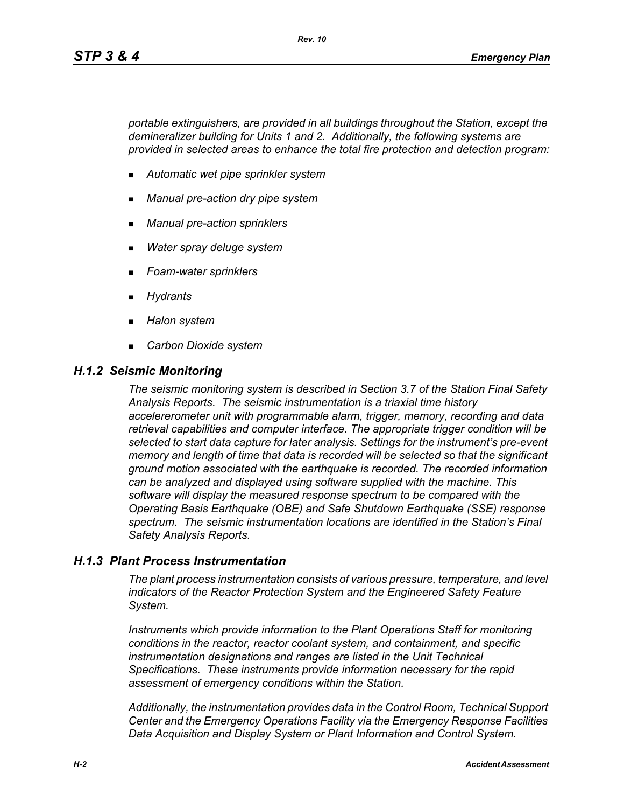*portable extinguishers, are provided in all buildings throughout the Station, except the demineralizer building for Units 1 and 2. Additionally, the following systems are provided in selected areas to enhance the total fire protection and detection program:*

- *Automatic wet pipe sprinkler system*
- *Manual pre-action dry pipe system*
- *Manual pre-action sprinklers*
- *Water spray deluge system*
- *Foam-water sprinklers*
- *Hydrants*
- *Halon system*
- *Carbon Dioxide system*

#### *H.1.2 Seismic Monitoring*

*The seismic monitoring system is described in Section 3.7 of the Station Final Safety Analysis Reports. The seismic instrumentation is a triaxial time history accelererometer unit with programmable alarm, trigger, memory, recording and data retrieval capabilities and computer interface. The appropriate trigger condition will be selected to start data capture for later analysis. Settings for the instrument's pre-event memory and length of time that data is recorded will be selected so that the significant ground motion associated with the earthquake is recorded. The recorded information can be analyzed and displayed using software supplied with the machine. This software will display the measured response spectrum to be compared with the Operating Basis Earthquake (OBE) and Safe Shutdown Earthquake (SSE) response spectrum. The seismic instrumentation locations are identified in the Station's Final Safety Analysis Reports.*

#### *H.1.3 Plant Process Instrumentation*

*The plant process instrumentation consists of various pressure, temperature, and level indicators of the Reactor Protection System and the Engineered Safety Feature System.*

*Instruments which provide information to the Plant Operations Staff for monitoring conditions in the reactor, reactor coolant system, and containment, and specific instrumentation designations and ranges are listed in the Unit Technical Specifications. These instruments provide information necessary for the rapid assessment of emergency conditions within the Station.*

*Additionally, the instrumentation provides data in the Control Room, Technical Support Center and the Emergency Operations Facility via the Emergency Response Facilities Data Acquisition and Display System or Plant Information and Control System.*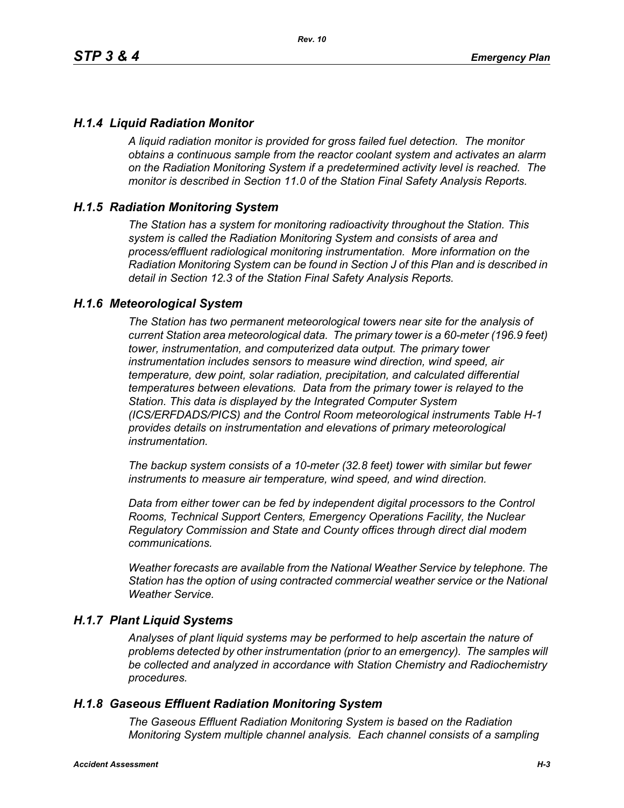### *H.1.4 Liquid Radiation Monitor*

*A liquid radiation monitor is provided for gross failed fuel detection. The monitor obtains a continuous sample from the reactor coolant system and activates an alarm on the Radiation Monitoring System if a predetermined activity level is reached. The monitor is described in Section 11.0 of the Station Final Safety Analysis Reports.*

### *H.1.5 Radiation Monitoring System*

*The Station has a system for monitoring radioactivity throughout the Station. This system is called the Radiation Monitoring System and consists of area and process/effluent radiological monitoring instrumentation. More information on the Radiation Monitoring System can be found in Section J of this Plan and is described in detail in Section 12.3 of the Station Final Safety Analysis Reports.*

#### *H.1.6 Meteorological System*

*The Station has two permanent meteorological towers near site for the analysis of current Station area meteorological data. The primary tower is a 60-meter (196.9 feet) tower, instrumentation, and computerized data output. The primary tower instrumentation includes sensors to measure wind direction, wind speed, air temperature, dew point, solar radiation, precipitation, and calculated differential temperatures between elevations. Data from the primary tower is relayed to the Station. This data is displayed by the Integrated Computer System (ICS/ERFDADS/PICS) and the Control Room meteorological instruments Table H-1 provides details on instrumentation and elevations of primary meteorological instrumentation.*

*The backup system consists of a 10-meter (32.8 feet) tower with similar but fewer instruments to measure air temperature, wind speed, and wind direction.*

*Data from either tower can be fed by independent digital processors to the Control Rooms, Technical Support Centers, Emergency Operations Facility, the Nuclear Regulatory Commission and State and County offices through direct dial modem communications.* 

*Weather forecasts are available from the National Weather Service by telephone. The Station has the option of using contracted commercial weather service or the National Weather Service.*

#### *H.1.7 Plant Liquid Systems*

*Analyses of plant liquid systems may be performed to help ascertain the nature of problems detected by other instrumentation (prior to an emergency). The samples will be collected and analyzed in accordance with Station Chemistry and Radiochemistry procedures.*

#### *H.1.8 Gaseous Effluent Radiation Monitoring System*

*The Gaseous Effluent Radiation Monitoring System is based on the Radiation Monitoring System multiple channel analysis. Each channel consists of a sampling*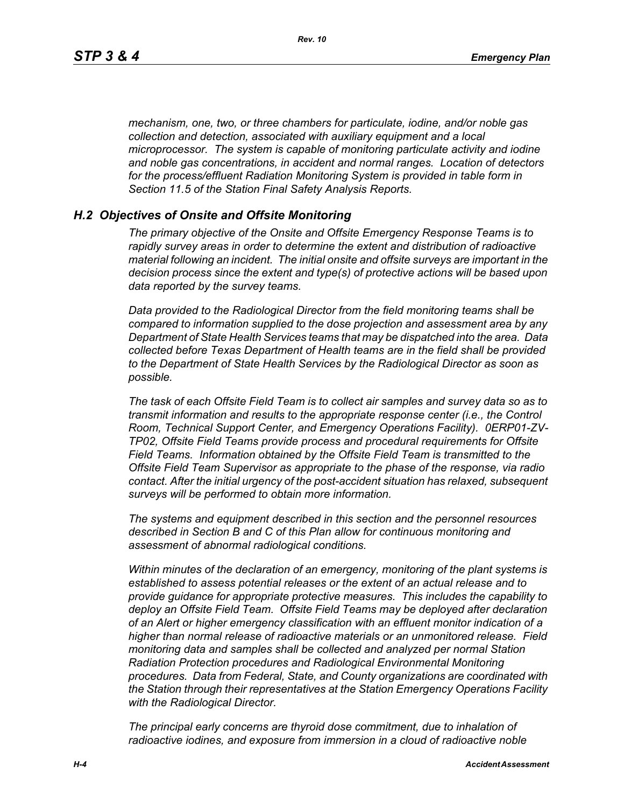*mechanism, one, two, or three chambers for particulate, iodine, and/or noble gas collection and detection, associated with auxiliary equipment and a local microprocessor. The system is capable of monitoring particulate activity and iodine and noble gas concentrations, in accident and normal ranges. Location of detectors for the process/effluent Radiation Monitoring System is provided in table form in Section 11.5 of the Station Final Safety Analysis Reports.* 

#### *H.2 Objectives of Onsite and Offsite Monitoring*

*The primary objective of the Onsite and Offsite Emergency Response Teams is to rapidly survey areas in order to determine the extent and distribution of radioactive material following an incident. The initial onsite and offsite surveys are important in the decision process since the extent and type(s) of protective actions will be based upon data reported by the survey teams.*

*Data provided to the Radiological Director from the field monitoring teams shall be compared to information supplied to the dose projection and assessment area by any Department of State Health Services teams that may be dispatched into the area. Data collected before Texas Department of Health teams are in the field shall be provided to the Department of State Health Services by the Radiological Director as soon as possible.*

*The task of each Offsite Field Team is to collect air samples and survey data so as to transmit information and results to the appropriate response center (i.e., the Control Room, Technical Support Center, and Emergency Operations Facility). 0ERP01-ZV-TP02, Offsite Field Teams provide process and procedural requirements for Offsite Field Teams. Information obtained by the Offsite Field Team is transmitted to the Offsite Field Team Supervisor as appropriate to the phase of the response, via radio contact. After the initial urgency of the post-accident situation has relaxed, subsequent surveys will be performed to obtain more information.*

*The systems and equipment described in this section and the personnel resources described in Section B and C of this Plan allow for continuous monitoring and assessment of abnormal radiological conditions.*

*Within minutes of the declaration of an emergency, monitoring of the plant systems is established to assess potential releases or the extent of an actual release and to provide guidance for appropriate protective measures. This includes the capability to deploy an Offsite Field Team. Offsite Field Teams may be deployed after declaration of an Alert or higher emergency classification with an effluent monitor indication of a higher than normal release of radioactive materials or an unmonitored release. Field monitoring data and samples shall be collected and analyzed per normal Station Radiation Protection procedures and Radiological Environmental Monitoring procedures. Data from Federal, State, and County organizations are coordinated with the Station through their representatives at the Station Emergency Operations Facility with the Radiological Director.*

*The principal early concerns are thyroid dose commitment, due to inhalation of radioactive iodines, and exposure from immersion in a cloud of radioactive noble*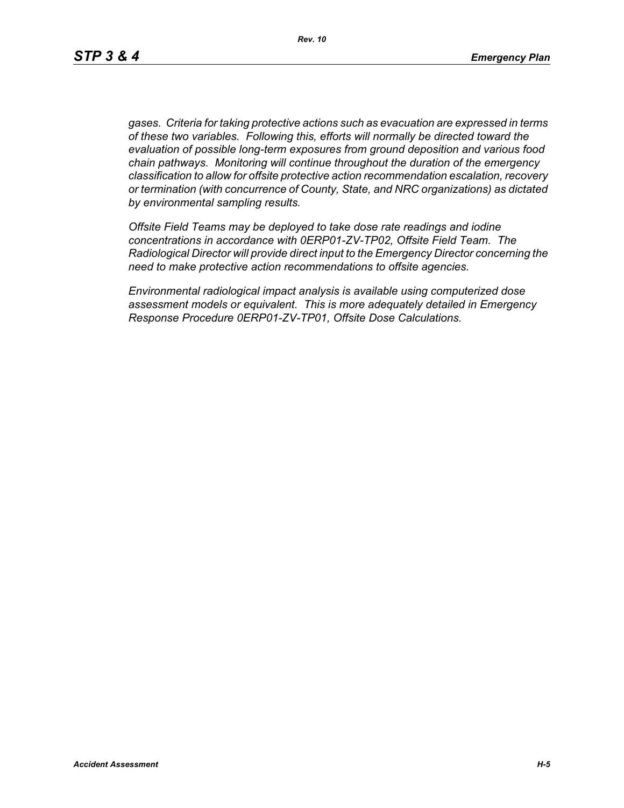*gases. Criteria for taking protective actions such as evacuation are expressed in terms of these two variables. Following this, efforts will normally be directed toward the evaluation of possible long-term exposures from ground deposition and various food chain pathways. Monitoring will continue throughout the duration of the emergency classification to allow for offsite protective action recommendation escalation, recovery or termination (with concurrence of County, State, and NRC organizations) as dictated by environmental sampling results.*

*Offsite Field Teams may be deployed to take dose rate readings and iodine concentrations in accordance with 0ERP01-ZV-TP02, Offsite Field Team. The Radiological Director will provide direct input to the Emergency Director concerning the need to make protective action recommendations to offsite agencies.* 

*Environmental radiological impact analysis is available using computerized dose assessment models or equivalent. This is more adequately detailed in Emergency Response Procedure 0ERP01-ZV-TP01, Offsite Dose Calculations.*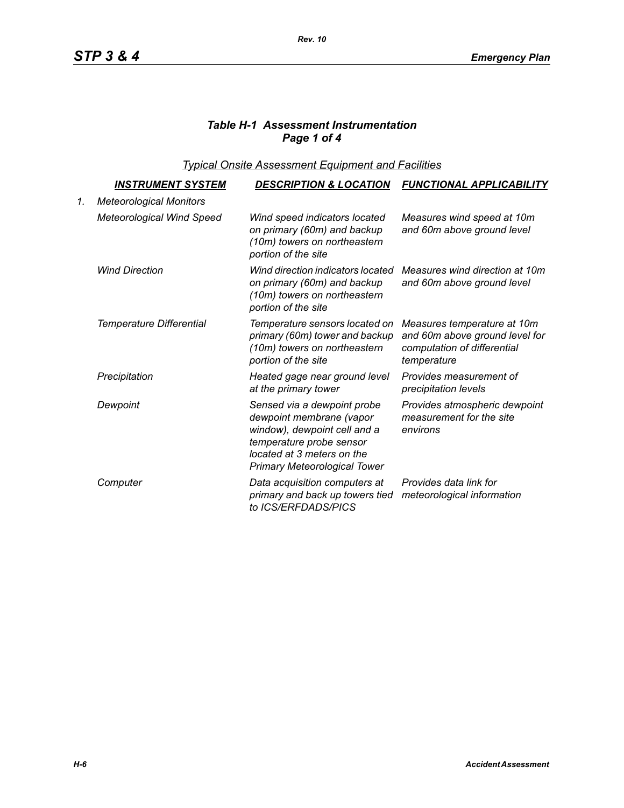# *Table H-1 Assessment Instrumentation Page 1 of 4*

*Typical Onsite Assessment Equipment and Facilities*

|    | <u>INSTRUMENT SYSTEM</u>         | <b>DESCRIPTION &amp; LOCATION</b>                                                                                                                                                        | <b>FUNCTIONAL APPLICABILITY</b>                                                                             |
|----|----------------------------------|------------------------------------------------------------------------------------------------------------------------------------------------------------------------------------------|-------------------------------------------------------------------------------------------------------------|
| 1. | <b>Meteorological Monitors</b>   |                                                                                                                                                                                          |                                                                                                             |
|    | <b>Meteorological Wind Speed</b> | Wind speed indicators located<br>on primary (60m) and backup<br>(10m) towers on northeastern<br>portion of the site                                                                      | Measures wind speed at 10m<br>and 60m above ground level                                                    |
|    | <b>Wind Direction</b>            | Wind direction indicators located<br>on primary (60m) and backup<br>(10m) towers on northeastern<br>portion of the site                                                                  | Measures wind direction at 10m<br>and 60m above ground level                                                |
|    | Temperature Differential         | Temperature sensors located on<br>primary (60m) tower and backup<br>(10m) towers on northeastern<br>portion of the site                                                                  | Measures temperature at 10m<br>and 60m above ground level for<br>computation of differential<br>temperature |
|    | Precipitation                    | Heated gage near ground level<br>at the primary tower                                                                                                                                    | Provides measurement of<br>precipitation levels                                                             |
|    | Dewpoint                         | Sensed via a dewpoint probe<br>dewpoint membrane (vapor<br>window), dewpoint cell and a<br>temperature probe sensor<br>located at 3 meters on the<br><b>Primary Meteorological Tower</b> | Provides atmospheric dewpoint<br>measurement for the site<br>environs                                       |
|    | Computer                         | Data acquisition computers at<br>primary and back up towers tied<br>to ICS/ERFDADS/PICS                                                                                                  | Provides data link for<br>meteorological information                                                        |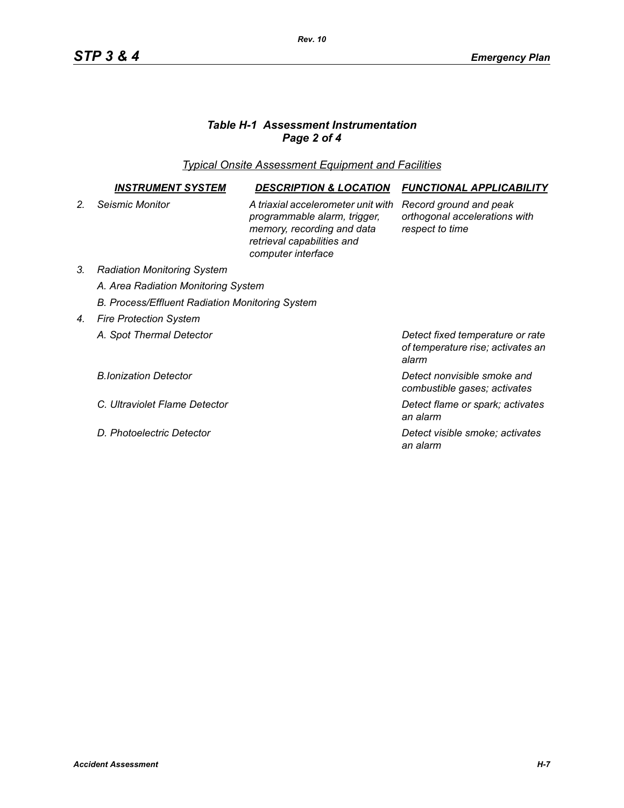# *Table H-1 Assessment Instrumentation Page 2 of 4*

*Typical Onsite Assessment Equipment and Facilities*

|                  | INSTRUMENT SYSTEM                                      | <b>DESCRIPTION &amp; LOCATION</b>                                                                                                                    | <b>FUNCTIONAL APPLICABILITY</b>                                                |  |  |
|------------------|--------------------------------------------------------|------------------------------------------------------------------------------------------------------------------------------------------------------|--------------------------------------------------------------------------------|--|--|
| $\overline{2}$ . | Seismic Monitor                                        | A triaxial accelerometer unit with<br>programmable alarm, trigger,<br>memory, recording and data<br>retrieval capabilities and<br>computer interface | Record ground and peak<br>orthogonal accelerations with<br>respect to time     |  |  |
| 3.               | <b>Radiation Monitoring System</b>                     |                                                                                                                                                      |                                                                                |  |  |
|                  | A. Area Radiation Monitoring System                    |                                                                                                                                                      |                                                                                |  |  |
|                  | <b>B. Process/Effluent Radiation Monitoring System</b> |                                                                                                                                                      |                                                                                |  |  |
| 4.               | <b>Fire Protection System</b>                          |                                                                                                                                                      |                                                                                |  |  |
|                  | A. Spot Thermal Detector                               |                                                                                                                                                      | Detect fixed temperature or rate<br>of temperature rise; activates an<br>alarm |  |  |
|                  | <b>B.Ionization Detector</b>                           |                                                                                                                                                      | Detect nonvisible smoke and<br>combustible gases; activates                    |  |  |
|                  | C. Ultraviolet Flame Detector                          |                                                                                                                                                      | Detect flame or spark; activates<br>an alarm                                   |  |  |
|                  | D. Photoelectric Detector                              |                                                                                                                                                      | Detect visible smoke; activates<br>an alarm                                    |  |  |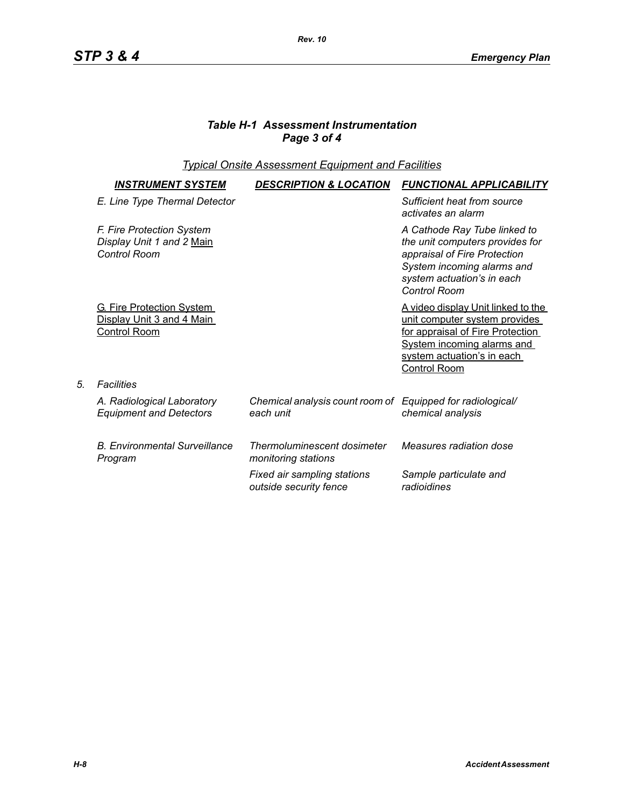## *Table H-1 Assessment Instrumentation Page 3 of 4*

*Rev. 10*

## *Typical Onsite Assessment Equipment and Facilities*

| <b>INSTRUMENT SYSTEM</b>                                                             | <b>DESCRIPTION &amp; LOCATION</b>                                       | <b>FUNCTIONAL APPLICABILITY</b>                                                                                                                                                            |
|--------------------------------------------------------------------------------------|-------------------------------------------------------------------------|--------------------------------------------------------------------------------------------------------------------------------------------------------------------------------------------|
| E. Line Type Thermal Detector                                                        |                                                                         | Sufficient heat from source<br>activates an alarm                                                                                                                                          |
| F. Fire Protection System<br>Display Unit 1 and 2 Main<br>Control Room               |                                                                         | A Cathode Ray Tube linked to<br>the unit computers provides for<br>appraisal of Fire Protection<br>System incoming alarms and<br>system actuation's in each<br>Control Room                |
| <b>G. Fire Protection System</b><br>Display Unit 3 and 4 Main<br><b>Control Room</b> |                                                                         | A video display Unit linked to the<br>unit computer system provides<br>for appraisal of Fire Protection<br><b>System incoming alarms and</b><br>system actuation's in each<br>Control Room |
| Facilities                                                                           |                                                                         |                                                                                                                                                                                            |
| A. Radiological Laboratory<br><b>Equipment and Detectors</b>                         | Chemical analysis count room of Equipped for radiological/<br>each unit | chemical analysis                                                                                                                                                                          |
| <b>B. Environmental Surveillance</b><br>Program                                      | Thermoluminescent dosimeter<br>monitoring stations                      | Measures radiation dose                                                                                                                                                                    |
|                                                                                      | Fixed air sampling stations<br>outside security fence                   | Sample particulate and<br>radioidines                                                                                                                                                      |

*5. Facilities*